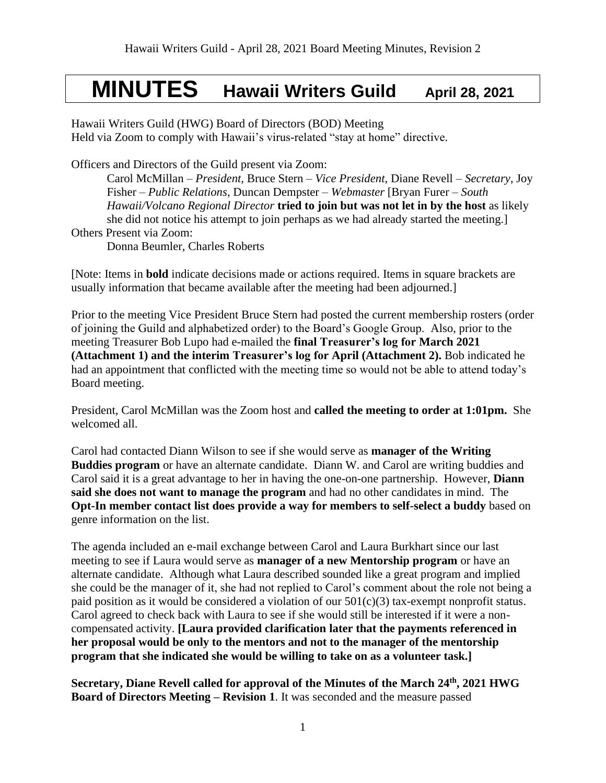# **MINUTES Hawaii Writers Guild April 28, 2021**

Hawaii Writers Guild (HWG) Board of Directors (BOD) Meeting Held via Zoom to comply with Hawaii's virus-related "stay at home" directive.

Officers and Directors of the Guild present via Zoom:

Carol McMillan – *President*, Bruce Stern – *Vice President*, Diane Revell – *Secretary*, Joy Fisher – *Public Relations*, Duncan Dempster – *Webmaster* [Bryan Furer – *South Hawaii/Volcano Regional Director* **tried to join but was not let in by the host** as likely she did not notice his attempt to join perhaps as we had already started the meeting.] Others Present via Zoom:

Donna Beumler, Charles Roberts

[Note: Items in **bold** indicate decisions made or actions required. Items in square brackets are usually information that became available after the meeting had been adjourned.]

Prior to the meeting Vice President Bruce Stern had posted the current membership rosters (order of joining the Guild and alphabetized order) to the Board's Google Group. Also, prior to the meeting Treasurer Bob Lupo had e-mailed the **final Treasurer's log for March 2021 (Attachment 1) and the interim Treasurer's log for April (Attachment 2).** Bob indicated he had an appointment that conflicted with the meeting time so would not be able to attend today's Board meeting.

President, Carol McMillan was the Zoom host and **called the meeting to order at 1:01pm.** She welcomed all.

Carol had contacted Diann Wilson to see if she would serve as **manager of the Writing Buddies program** or have an alternate candidate. Diann W. and Carol are writing buddies and Carol said it is a great advantage to her in having the one-on-one partnership. However, **Diann said she does not want to manage the program** and had no other candidates in mind. The **Opt-In member contact list does provide a way for members to self-select a buddy** based on genre information on the list.

The agenda included an e-mail exchange between Carol and Laura Burkhart since our last meeting to see if Laura would serve as **manager of a new Mentorship program** or have an alternate candidate. Although what Laura described sounded like a great program and implied she could be the manager of it, she had not replied to Carol's comment about the role not being a paid position as it would be considered a violation of our  $501(c)(3)$  tax-exempt nonprofit status. Carol agreed to check back with Laura to see if she would still be interested if it were a noncompensated activity. **[Laura provided clarification later that the payments referenced in her proposal would be only to the mentors and not to the manager of the mentorship program that she indicated she would be willing to take on as a volunteer task.]**

**Secretary, Diane Revell called for approval of the Minutes of the March 24th, 2021 HWG Board of Directors Meeting – Revision 1**. It was seconded and the measure passed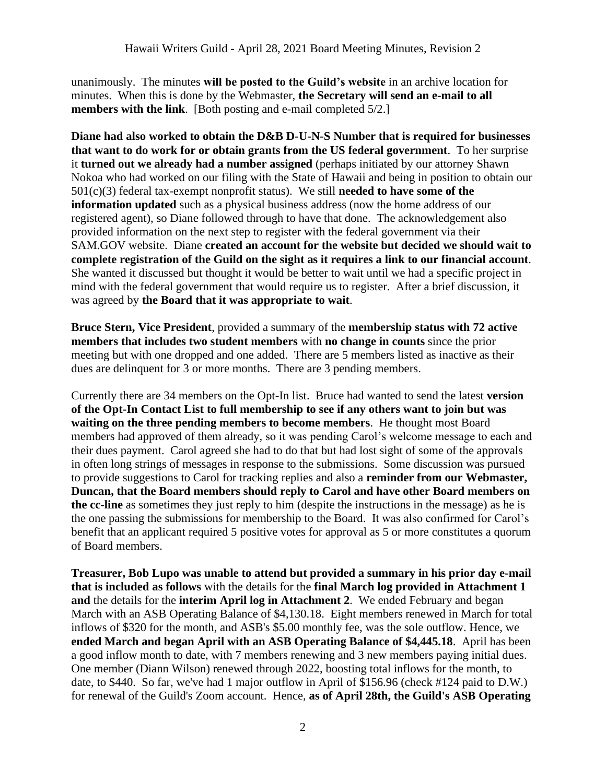unanimously. The minutes **will be posted to the Guild's website** in an archive location for minutes. When this is done by the Webmaster, **the Secretary will send an e-mail to all members with the link**. [Both posting and e-mail completed 5/2.]

**Diane had also worked to obtain the D&B D-U-N-S Number that is required for businesses that want to do work for or obtain grants from the US federal government**. To her surprise it **turned out we already had a number assigned** (perhaps initiated by our attorney Shawn Nokoa who had worked on our filing with the State of Hawaii and being in position to obtain our 501(c)(3) federal tax-exempt nonprofit status). We still **needed to have some of the information updated** such as a physical business address (now the home address of our registered agent), so Diane followed through to have that done. The acknowledgement also provided information on the next step to register with the federal government via their SAM.GOV website. Diane **created an account for the website but decided we should wait to complete registration of the Guild on the sight as it requires a link to our financial account**. She wanted it discussed but thought it would be better to wait until we had a specific project in mind with the federal government that would require us to register. After a brief discussion, it was agreed by **the Board that it was appropriate to wait**.

**Bruce Stern, Vice President**, provided a summary of the **membership status with 72 active members that includes two student members** with **no change in counts** since the prior meeting but with one dropped and one added. There are 5 members listed as inactive as their dues are delinquent for 3 or more months. There are 3 pending members.

Currently there are 34 members on the Opt-In list. Bruce had wanted to send the latest **version of the Opt-In Contact List to full membership to see if any others want to join but was waiting on the three pending members to become members**. He thought most Board members had approved of them already, so it was pending Carol's welcome message to each and their dues payment. Carol agreed she had to do that but had lost sight of some of the approvals in often long strings of messages in response to the submissions. Some discussion was pursued to provide suggestions to Carol for tracking replies and also a **reminder from our Webmaster, Duncan, that the Board members should reply to Carol and have other Board members on the cc-line** as sometimes they just reply to him (despite the instructions in the message) as he is the one passing the submissions for membership to the Board. It was also confirmed for Carol's benefit that an applicant required 5 positive votes for approval as 5 or more constitutes a quorum of Board members.

**Treasurer, Bob Lupo was unable to attend but provided a summary in his prior day e-mail that is included as follows** with the details for the **final March log provided in Attachment 1 and** the details for the **interim April log in Attachment 2**. We ended February and began March with an ASB Operating Balance of \$4,130.18. Eight members renewed in March for total inflows of \$320 for the month, and ASB's \$5.00 monthly fee, was the sole outflow. Hence, we **ended March and began April with an ASB Operating Balance of \$4,445.18**. April has been a good inflow month to date, with 7 members renewing and 3 new members paying initial dues. One member (Diann Wilson) renewed through 2022, boosting total inflows for the month, to date, to \$440. So far, we've had 1 major outflow in April of \$156.96 (check #124 paid to D.W.) for renewal of the Guild's Zoom account. Hence, **as of April 28th, the Guild's ASB Operating**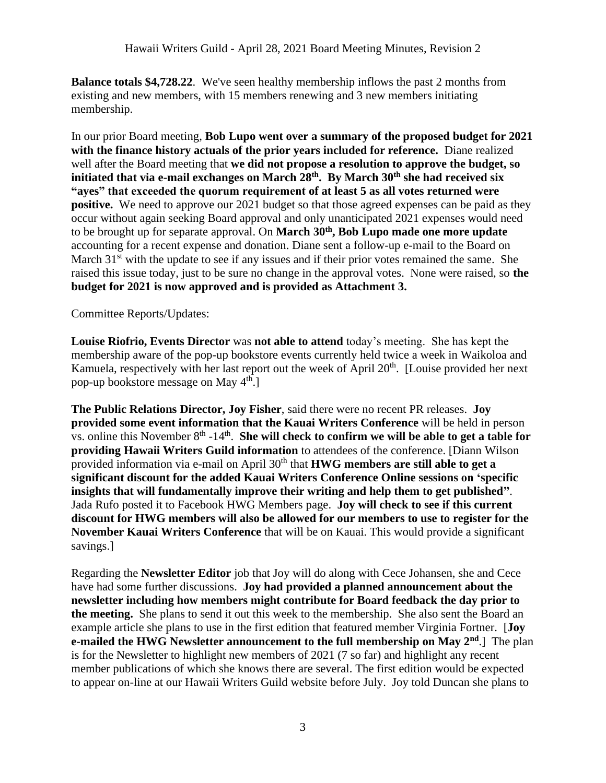**Balance totals \$4,728.22**. We've seen healthy membership inflows the past 2 months from existing and new members, with 15 members renewing and 3 new members initiating membership.

In our prior Board meeting, **Bob Lupo went over a summary of the proposed budget for 2021 with the finance history actuals of the prior years included for reference.** Diane realized well after the Board meeting that **we did not propose a resolution to approve the budget, so initiated that via e-mail exchanges on March 28th. By March 30th she had received six "ayes" that exceeded the quorum requirement of at least 5 as all votes returned were positive.** We need to approve our 2021 budget so that those agreed expenses can be paid as they occur without again seeking Board approval and only unanticipated 2021 expenses would need to be brought up for separate approval. On **March 30th, Bob Lupo made one more update**  accounting for a recent expense and donation. Diane sent a follow-up e-mail to the Board on March  $31<sup>st</sup>$  with the update to see if any issues and if their prior votes remained the same. She raised this issue today, just to be sure no change in the approval votes. None were raised, so **the budget for 2021 is now approved and is provided as Attachment 3.**

### Committee Reports/Updates:

**Louise Riofrio, Events Director** was **not able to attend** today's meeting. She has kept the membership aware of the pop-up bookstore events currently held twice a week in Waikoloa and Kamuela, respectively with her last report out the week of April  $20<sup>th</sup>$ . [Louise provided her next pop-up bookstore message on May 4<sup>th</sup>.]

**The Public Relations Director, Joy Fisher**, said there were no recent PR releases. **Joy provided some event information that the Kauai Writers Conference** will be held in person vs. online this November 8<sup>th</sup> -14<sup>th</sup>. She will check to confirm we will be able to get a table for **providing Hawaii Writers Guild information** to attendees of the conference. [Diann Wilson provided information via e-mail on April 30<sup>th</sup> that **HWG members are still able to get a significant discount for the added Kauai Writers Conference Online sessions on 'specific insights that will fundamentally improve their writing and help them to get published"**. Jada Rufo posted it to Facebook HWG Members page. **Joy will check to see if this current discount for HWG members will also be allowed for our members to use to register for the November Kauai Writers Conference** that will be on Kauai. This would provide a significant savings.]

Regarding the **Newsletter Editor** job that Joy will do along with Cece Johansen, she and Cece have had some further discussions. **Joy had provided a planned announcement about the newsletter including how members might contribute for Board feedback the day prior to the meeting.** She plans to send it out this week to the membership. She also sent the Board an example article she plans to use in the first edition that featured member Virginia Fortner. [**Joy e-mailed the HWG Newsletter announcement to the full membership on May 2nd**.] The plan is for the Newsletter to highlight new members of 2021 (7 so far) and highlight any recent member publications of which she knows there are several. The first edition would be expected to appear on-line at our Hawaii Writers Guild website before July. Joy told Duncan she plans to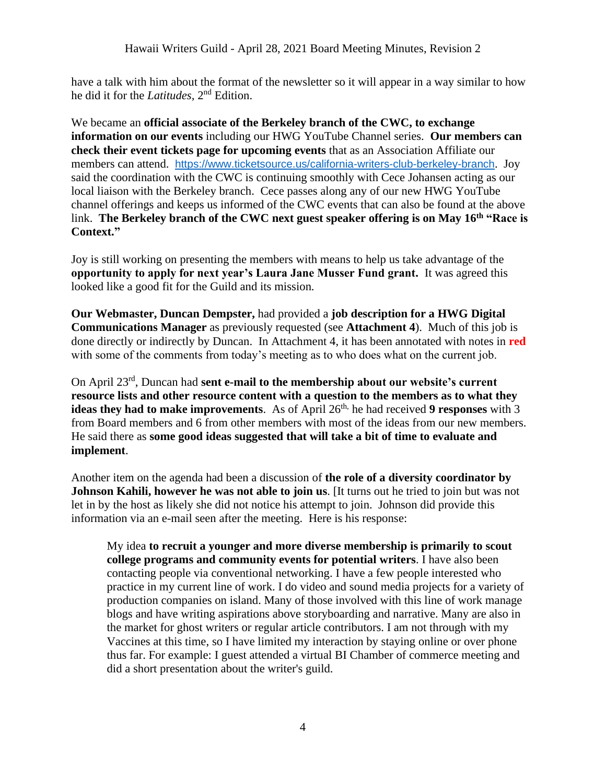have a talk with him about the format of the newsletter so it will appear in a way similar to how he did it for the *Latitudes,* 2 nd Edition.

We became an **official associate of the Berkeley branch of the CWC, to exchange information on our events** including our HWG YouTube Channel series. **Our members can check their event tickets page for upcoming events** that as an Association Affiliate our members can attend. <https://www.ticketsource.us/california-writers-club-berkeley-branch>. Joy said the coordination with the CWC is continuing smoothly with Cece Johansen acting as our local liaison with the Berkeley branch.Cece passes along any of our new HWG YouTube channel offerings and keeps us informed of the CWC events that can also be found at the above link. **The Berkeley branch of the CWC next guest speaker offering is on May 16th "Race is Context."**

Joy is still working on presenting the members with means to help us take advantage of the **opportunity to apply for next year's Laura Jane Musser Fund grant.** It was agreed this looked like a good fit for the Guild and its mission.

**Our Webmaster, Duncan Dempster,** had provided a **job description for a HWG Digital Communications Manager** as previously requested (see **Attachment 4**). Much of this job is done directly or indirectly by Duncan. In Attachment 4, it has been annotated with notes in **red** with some of the comments from today's meeting as to who does what on the current job.

On April 23rd , Duncan had **sent e-mail to the membership about our website's current resource lists and other resource content with a question to the members as to what they ideas they had to make improvements**. As of April 26<sup>th,</sup> he had received 9 responses with 3 from Board members and 6 from other members with most of the ideas from our new members. He said there as **some good ideas suggested that will take a bit of time to evaluate and implement**.

Another item on the agenda had been a discussion of **the role of a diversity coordinator by Johnson Kahili, however he was not able to join us**. [It turns out he tried to join but was not let in by the host as likely she did not notice his attempt to join. Johnson did provide this information via an e-mail seen after the meeting. Here is his response:

My idea **to recruit a younger and more diverse membership is primarily to scout college programs and community events for potential writers**. I have also been contacting people via conventional networking. I have a few people interested who practice in my current line of work. I do video and sound media projects for a variety of production companies on island. Many of those involved with this line of work manage blogs and have writing aspirations above storyboarding and narrative. Many are also in the market for ghost writers or regular article contributors. I am not through with my Vaccines at this time, so I have limited my interaction by staying online or over phone thus far. For example: I guest attended a virtual BI Chamber of commerce meeting and did a short presentation about the writer's guild.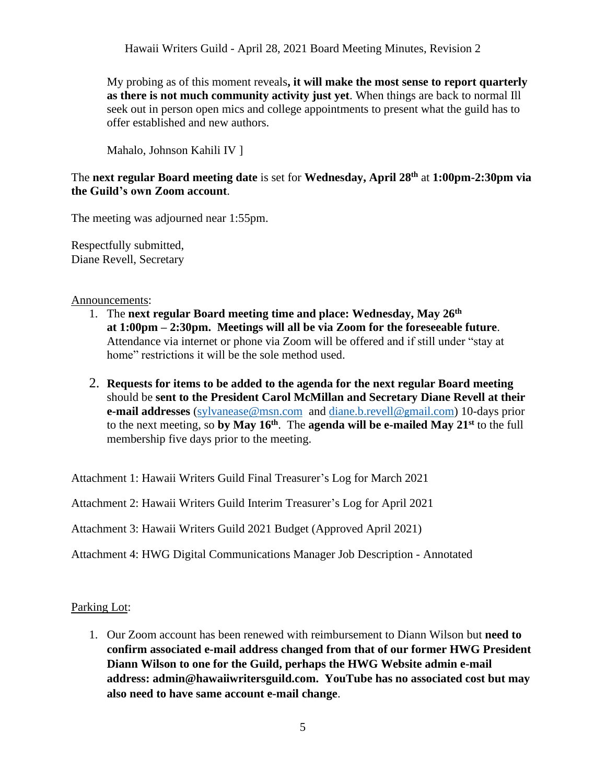My probing as of this moment reveals**, it will make the most sense to report quarterly as there is not much community activity just yet**. When things are back to normal Ill seek out in person open mics and college appointments to present what the guild has to offer established and new authors.

Mahalo, Johnson Kahili IV ]

The **next regular Board meeting date** is set for **Wednesday, April 28 th** at **1:00pm-2:30pm via the Guild's own Zoom account**.

The meeting was adjourned near 1:55pm.

Respectfully submitted, Diane Revell, Secretary

Announcements:

- 1. The **next regular Board meeting time and place: Wednesday, May 26 th at 1:00pm – 2:30pm. Meetings will all be via Zoom for the foreseeable future**. Attendance via internet or phone via Zoom will be offered and if still under "stay at home" restrictions it will be the sole method used.
- 2. **Requests for items to be added to the agenda for the next regular Board meeting** should be **sent to the President Carol McMillan and Secretary Diane Revell at their e-mail addresses** [\(sylvanease@msn.com](mailto:sylvanease@msn.com) and [diane.b.revell@](mailto:diane.b.revell@gmail.com)gmail.com) 10-days prior to the next meeting, so **by May 16 th** . The **agenda will be e-mailed May 21 st** to the full membership five days prior to the meeting.

Attachment 1: Hawaii Writers Guild Final Treasurer's Log for March 2021

Attachment 2: Hawaii Writers Guild Interim Treasurer's Log for April 2021

Attachment 3: Hawaii Writers Guild 2021 Budget (Approved April 2021)

Attachment 4: HWG Digital Communications Manager Job Description - Annotated

Parking Lot:

1. Our Zoom account has been renewed with reimbursement to Diann Wilson but **need to confirm associated e-mail address changed from that of our former HWG President Diann Wilson to one for the Guild, perhaps the HWG Website admin e-mail address: admin@hawaiiwritersguild.com. YouTube has no associated cost but may also need to have same account e-mail change**.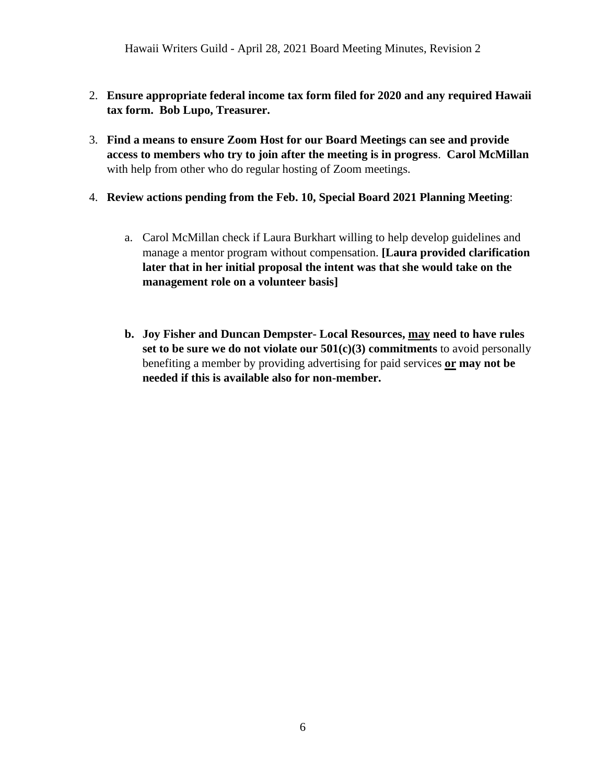Hawaii Writers Guild - April 28, 2021 Board Meeting Minutes, Revision 2

- 2. **Ensure appropriate federal income tax form filed for 2020 and any required Hawaii tax form. Bob Lupo, Treasurer.**
- 3. **Find a means to ensure Zoom Host for our Board Meetings can see and provide access to members who try to join after the meeting is in progress**. **Carol McMillan** with help from other who do regular hosting of Zoom meetings.
- 4. **Review actions pending from the Feb. 10, Special Board 2021 Planning Meeting**:
	- a. Carol McMillan check if Laura Burkhart willing to help develop guidelines and manage a mentor program without compensation. **[Laura provided clarification later that in her initial proposal the intent was that she would take on the management role on a volunteer basis]**
	- **b. Joy Fisher and Duncan Dempster- Local Resources, may need to have rules set to be sure we do not violate our 501(c)(3) commitments** to avoid personally benefiting a member by providing advertising for paid services **or may not be needed if this is available also for non-member.**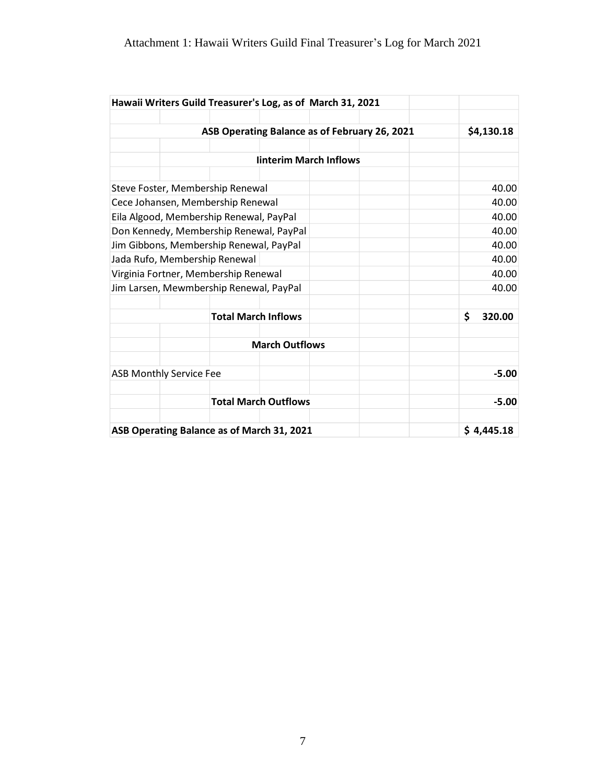|                                            | Hawaii Writers Guild Treasurer's Log, as of March 31, 2021 |                               |  |                                               |              |
|--------------------------------------------|------------------------------------------------------------|-------------------------------|--|-----------------------------------------------|--------------|
|                                            |                                                            |                               |  | ASB Operating Balance as of February 26, 2021 |              |
|                                            | \$4,130.18                                                 |                               |  |                                               |              |
|                                            |                                                            | <b>linterim March Inflows</b> |  |                                               |              |
|                                            |                                                            |                               |  |                                               |              |
| Steve Foster, Membership Renewal           | 40.00                                                      |                               |  |                                               |              |
| Cece Johansen, Membership Renewal          |                                                            |                               |  |                                               | 40.00        |
| Eila Algood, Membership Renewal, PayPal    | 40.00                                                      |                               |  |                                               |              |
| Don Kennedy, Membership Renewal, PayPal    |                                                            |                               |  |                                               | 40.00        |
| Jim Gibbons, Membership Renewal, PayPal    | 40.00                                                      |                               |  |                                               |              |
| Jada Rufo, Membership Renewal              | 40.00                                                      |                               |  |                                               |              |
| Virginia Fortner, Membership Renewal       | 40.00                                                      |                               |  |                                               |              |
| Jim Larsen, Mewmbership Renewal, PayPal    |                                                            | 40.00                         |  |                                               |              |
| <b>Total March Inflows</b>                 |                                                            |                               |  |                                               | \$<br>320.00 |
|                                            |                                                            | <b>March Outflows</b>         |  |                                               |              |
| <b>ASB Monthly Service Fee</b>             |                                                            |                               |  | $-5.00$                                       |              |
|                                            | <b>Total March Outflows</b>                                | $-5.00$                       |  |                                               |              |
| ASB Operating Balance as of March 31, 2021 | \$4,445.18                                                 |                               |  |                                               |              |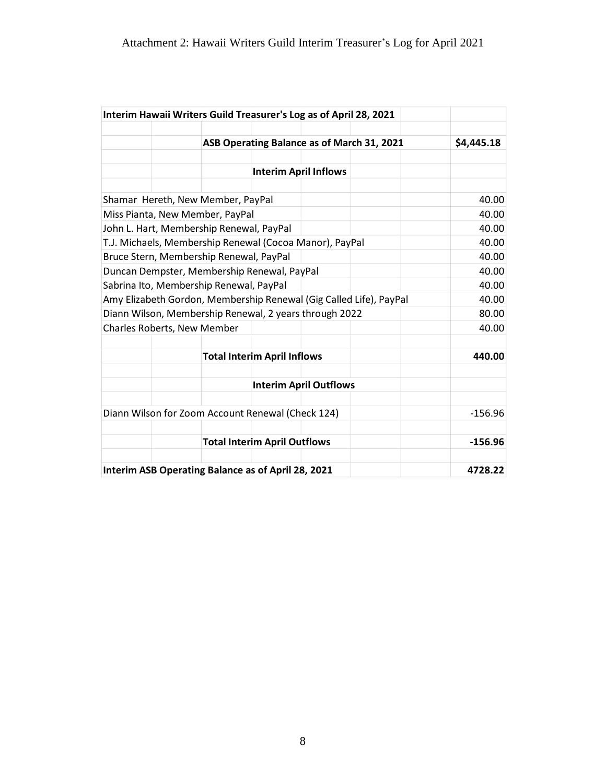| Interim Hawaii Writers Guild Treasurer's Log as of April 28, 2021  |                                            |           |                               |  |         |  |
|--------------------------------------------------------------------|--------------------------------------------|-----------|-------------------------------|--|---------|--|
|                                                                    | ASB Operating Balance as of March 31, 2021 |           |                               |  |         |  |
|                                                                    |                                            |           | <b>Interim April Inflows</b>  |  |         |  |
|                                                                    |                                            |           |                               |  |         |  |
| Shamar Hereth, New Member, PayPal                                  |                                            |           |                               |  | 40.00   |  |
| Miss Pianta, New Member, PayPal                                    | 40.00                                      |           |                               |  |         |  |
| John L. Hart, Membership Renewal, PayPal                           | 40.00                                      |           |                               |  |         |  |
| T.J. Michaels, Membership Renewal (Cocoa Manor), PayPal            | 40.00                                      |           |                               |  |         |  |
| Bruce Stern, Membership Renewal, PayPal                            | 40.00                                      |           |                               |  |         |  |
| Duncan Dempster, Membership Renewal, PayPal                        | 40.00                                      |           |                               |  |         |  |
| Sabrina Ito, Membership Renewal, PayPal                            | 40.00                                      |           |                               |  |         |  |
| Amy Elizabeth Gordon, Membership Renewal (Gig Called Life), PayPal | 40.00                                      |           |                               |  |         |  |
| Diann Wilson, Membership Renewal, 2 years through 2022             | 80.00                                      |           |                               |  |         |  |
| Charles Roberts, New Member                                        | 40.00                                      |           |                               |  |         |  |
|                                                                    | <b>Total Interim April Inflows</b>         | 440.00    |                               |  |         |  |
|                                                                    |                                            |           | <b>Interim April Outflows</b> |  |         |  |
|                                                                    |                                            |           |                               |  |         |  |
| Diann Wilson for Zoom Account Renewal (Check 124)                  | $-156.96$                                  |           |                               |  |         |  |
|                                                                    | <b>Total Interim April Outflows</b>        | $-156.96$ |                               |  |         |  |
|                                                                    |                                            |           |                               |  |         |  |
| Interim ASB Operating Balance as of April 28, 2021                 |                                            |           |                               |  | 4728.22 |  |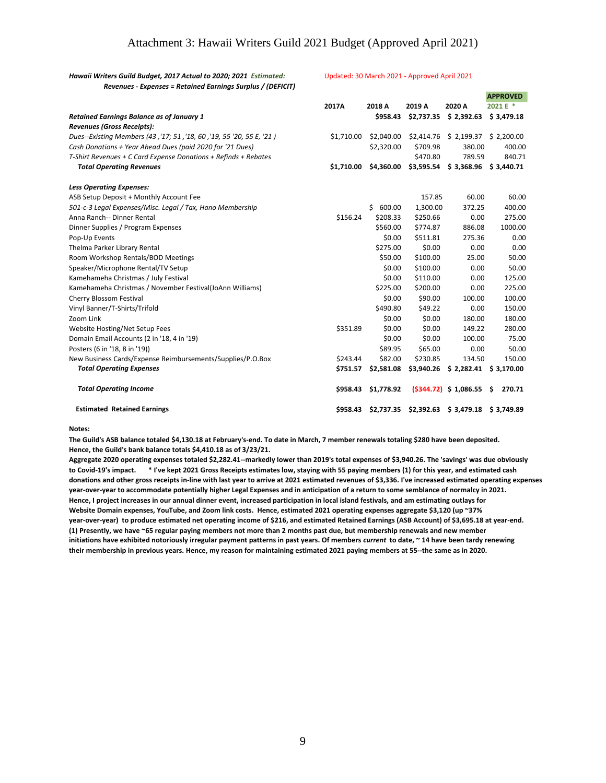### Attachment 3: Hawaii Writers Guild 2021 Budget (Approved April 2021)

*Hawaii Writers Guild Budget, 2017 Actual to 2020; 2021 Estimated:*

#### *Revenues - Expenses = Retained Earnings Surplus / (DEFICIT)* **APPROVED 2017A 2018 A 2019 A 2020 A 2021 E \*** *Retained Earnings Balance as of January 1* **\$958.43 \$2,737.35 \$ 2,392.63 \$ 3,479.18** *Revenues (Gross Receipts): Dues--Existing Members (43 ,'17; 51 ,'18, 60 ,'19, 55 '20, 55 E, '21 )* \$1,710.00 \$2,040.00 \$2,414.76 \$ 2,199.37 \$ 2,200.00 *Cash Donations + Year Ahead Dues (paid 2020 for '21 Dues)* \$2,320.00 \$709.98 380.00 400.00 *T-Shirt Revenues + C Card Expense Donations + Refinds + Rebates* \$470.80 789.59 840.71  *Total Operating Revenues* **\$1,710.00 \$4,360.00 \$3,595.54 \$ 3,368.96 \$ 3,440.71** *Less Operating Expenses:* ASB Setup Deposit + Monthly Account Fee 157.85 60.00 60.00 60.00 60.00 *501-c-3 Legal Expenses/Misc. Legal / Tax, Hano Membership* \$ 600.00 1,300.00 372.25 400.00 Anna Ranch-- Dinner Rental **1996 1208.24** \$208.33 \$250.66 0.00 275.00 Dinner Supplies / Program Expenses \$560.00 \$774.87 886.08 1000.00 Pop-Up Events \$0.00 \$511.81 275.36 0.00 Thelma Parker Library Rental **\$275.00 \$0.00** 0.00 0.00 0.00 0.00 Room Workshop Rentals/BOD Meetings **\$50.00** \$100.00 \$100.00 \$100.00 \$100.00 \$100.00 \$100.00 \$100.00 \$100.00 \$100.00 \$100.00 \$100.00 \$100.00 \$100.00 \$100.00 \$100.00 \$100.00 \$100.00 \$100.00 \$100.00 \$100.00 \$100.00 \$100.00 \$1 Speaker/Microphone Rental/TV Setup \$0.00 \$100.00 \$100.00 50.00 \$100.00 50.00 Kamehameha Christmas / July Festival **by the Christmas Christmas Automobile 125.00** 6.00 com at 125.00 0.00 125.00 Kamehameha Christmas / November Festival(JoAnn Williams)  $\frac{1}{225.00}$  \$200.00 0.00 225.00 Cherry Blossom Festival **by Cherry Blossom Festival and Cherry Blossom Festival and Cherry Blossom Testival and Cherry Blossom Testival and Cherry Blossom Testival and Cherry Blossom Testival and Cherry Blossom Testival an** Vinyl Banner/T-Shirts/Trifold \$490.80 \$49.22 0.00 150.00 Zoom Link \$0.00 \$0.00 180.00 180.00 Website Hosting/Net Setup Fees \$351.89 \$0.00 \$0.00 \$0.00 \$0.00 \$0.00 280.00 Domain Email Accounts (2 in '18, 4 in '19) \$0.00 \$0.00 100.00 75.00 Posters (6 in '18, 8 in '19)) **Exercise 2.000** 50.00 **50.00** 50.00 50.00 **50.00** 50.00 50.00 New Business Cards/Expense Reimbursements/Supplies/P.O.Box \$243.44 \$82.00 \$230.85 134.50 150.00 *Total Operating Expenses* **\$751.57 \$2,581.08 \$3,940.26 \$ 2,282.41 \$ 3,170.00** *Total Operating Income* **\$958.43 \$1,778.92 (\$344.72) \$ 1,086.55 \$ 270.71 Estimated Retained Earnings \$958.43 \$2,737.35 \$2,392.63 \$ 3,479.18 \$ 3,749.89**

#### **Notes:**

**The Guild's ASB balance totaled \$4,130.18 at February's-end. To date in March, 7 member renewals totaling \$280 have been deposited. Hence, the Guild's bank balance totals \$4,410.18 as of 3/23/21.** 

**Aggregate 2020 operating expenses totaled \$2,282.41--markedly lower than 2019's total expenses of \$3,940.26. The 'savings' was due obviously to Covid-19's impact. \* I've kept 2021 Gross Receipts estimates low, staying with 55 paying members (1) for this year, and estimated cash donations and other gross receipts in-line with last year to arrive at 2021 estimated revenues of \$3,336. I've increased estimated operating expenses year-over-year to accommodate potentially higher Legal Expenses and in anticipation of a return to some semblance of normalcy in 2021. Hence, I project increases in our annual dinner event, increased participation in local island festivals, and am estimating outlays for Website Domain expenses, YouTube, and Zoom link costs. Hence, estimated 2021 operating expenses aggregate \$3,120 (up ~37% year-over-year) to produce estimated net operating income of \$216, and estimated Retained Earnings (ASB Account) of \$3,695.18 at year-end. (1) Presently, we have ~65 regular paying members not more than 2 months past due, but membership renewals and new member initiations have exhibited notoriously irregular payment patterns in past years. Of members** *current* **to date, ~ 14 have been tardy renewing their membership in previous years. Hence, my reason for maintaining estimated 2021 paying members at 55--the same as in 2020.**

#### Updated: 30 March 2021 - Approved April 2021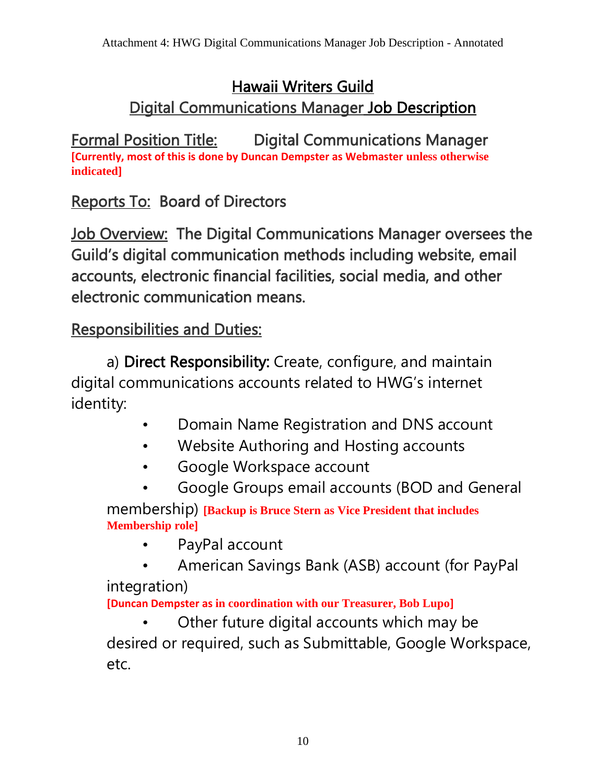## Hawaii Writers Guild Digital Communications Manager Job Description

Formal Position Title: Digital Communications Manager **[Currently, most of this is done by Duncan Dempster as Webmaster unless otherwise indicated]**

Reports To: Board of Directors

**Job Overview: The Digital Communications Manager oversees the** Guild's digital communication methods including website, email accounts, electronic financial facilities, social media, and other electronic communication means.

## Responsibilities and Duties:

a) Direct Responsibility: Create, configure, and maintain digital communications accounts related to HWG's internet identity:

- Domain Name Registration and DNS account
- Website Authoring and Hosting accounts
- Google Workspace account
- Google Groups email accounts (BOD and General

membership) **[Backup is Bruce Stern as Vice President that includes Membership role]**

- PayPal account
- American Savings Bank (ASB) account (for PayPal integration)

**[Duncan Dempster as in coordination with our Treasurer, Bob Lupo]**

Other future digital accounts which may be desired or required, such as Submittable, Google Workspace, etc.